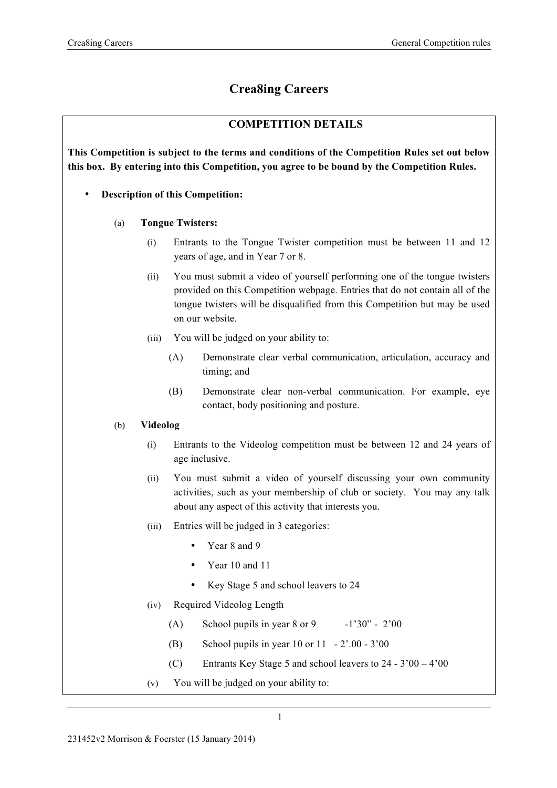# **Crea8ing Careers**

## **COMPETITION DETAILS**

**This Competition is subject to the terms and conditions of the Competition Rules set out below this box. By entering into this Competition, you agree to be bound by the Competition Rules.**

- **Description of this Competition:** 
	- (a) **Tongue Twisters:**
		- (i) Entrants to the Tongue Twister competition must be between 11 and 12 years of age, and in Year 7 or 8.
		- (ii) You must submit a video of yourself performing one of the tongue twisters provided on this Competition webpage. Entries that do not contain all of the tongue twisters will be disqualified from this Competition but may be used on our website.
		- (iii) You will be judged on your ability to:
			- (A) Demonstrate clear verbal communication, articulation, accuracy and timing; and
			- (B) Demonstrate clear non-verbal communication. For example, eye contact, body positioning and posture.

### (b) **Videolog**

- (i) Entrants to the Videolog competition must be between 12 and 24 years of age inclusive.
- (ii) You must submit a video of yourself discussing your own community activities, such as your membership of club or society. You may any talk about any aspect of this activity that interests you.
- (iii) Entries will be judged in 3 categories:
	- Year 8 and 9
	- Year 10 and 11
	- Key Stage 5 and school leavers to 24
- (iv) Required Videolog Length
	- (A) School pupils in year  $8$  or  $9 -1'30" 2'00$
	- (B) School pupils in year 10 or 11 2'.00 3'00
	- (C) Entrants Key Stage 5 and school leavers to 24 3'00 4'00
- (v) You will be judged on your ability to: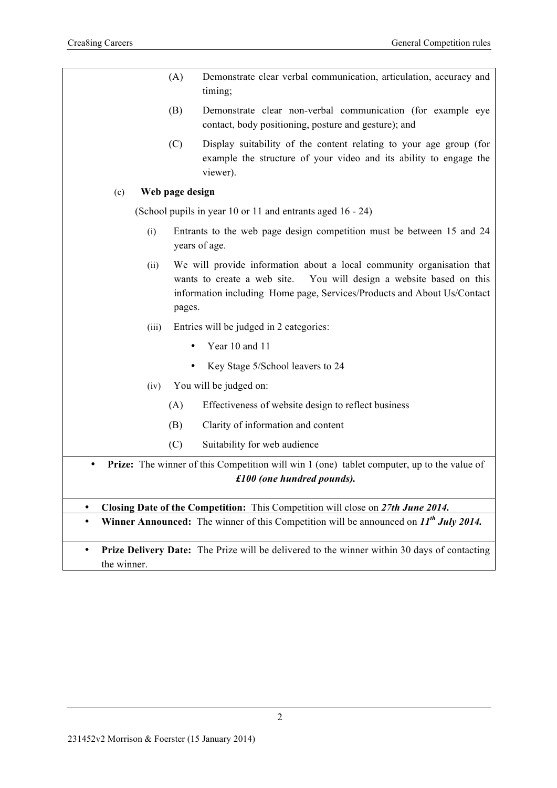|     | (B)<br>(C)      | Clarity of information and content<br>Suitability for web audience                                                                                                                                                         |
|-----|-----------------|----------------------------------------------------------------------------------------------------------------------------------------------------------------------------------------------------------------------------|
|     | (A)             | Effectiveness of website design to reflect business                                                                                                                                                                        |
|     | (iv)            | You will be judged on:                                                                                                                                                                                                     |
|     |                 | Key Stage 5/School leavers to 24                                                                                                                                                                                           |
|     |                 | Year 10 and 11                                                                                                                                                                                                             |
|     | (iii)           | Entries will be judged in 2 categories:                                                                                                                                                                                    |
|     | (ii)<br>pages.  | We will provide information about a local community organisation that<br>You will design a website based on this<br>wants to create a web site.<br>information including Home page, Services/Products and About Us/Contact |
|     | (i)             | Entrants to the web page design competition must be between 15 and 24<br>years of age.                                                                                                                                     |
|     |                 | (School pupils in year 10 or 11 and entrants aged 16 - 24)                                                                                                                                                                 |
| (c) | Web page design |                                                                                                                                                                                                                            |
|     | (C)             | Display suitability of the content relating to your age group (for<br>example the structure of your video and its ability to engage the<br>viewer).                                                                        |
|     | (B)             | Demonstrate clear non-verbal communication (for example eye<br>contact, body positioning, posture and gesture); and                                                                                                        |
|     | (A)             | Demonstrate clear verbal communication, articulation, accuracy and<br>timing;                                                                                                                                              |

• **Prize Delivery Date:** The Prize will be delivered to the winner within 30 days of contacting the winner.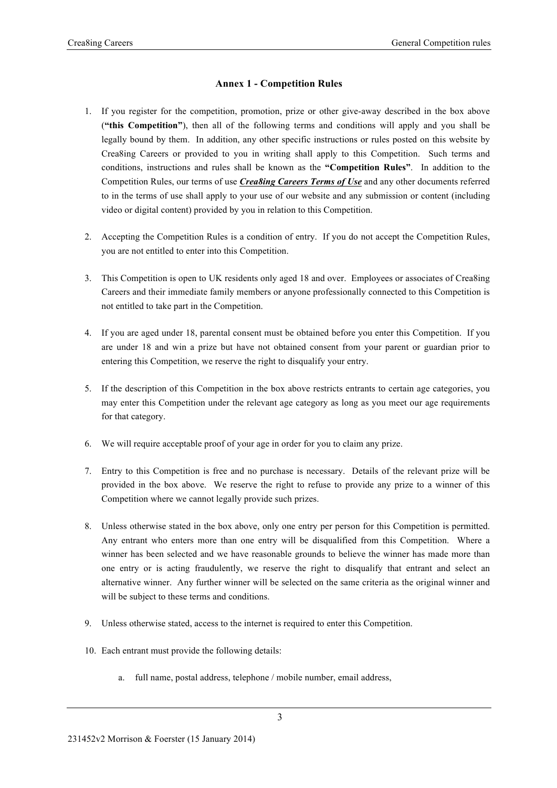#### **Annex 1 - Competition Rules**

- 1. If you register for the competition, promotion, prize or other give-away described in the box above (**"this Competition"**), then all of the following terms and conditions will apply and you shall be legally bound by them. In addition, any other specific instructions or rules posted on this website by Crea8ing Careers or provided to you in writing shall apply to this Competition. Such terms and conditions, instructions and rules shall be known as the **"Competition Rules"**. In addition to the Competition Rules, our terms of use *Crea8ing Careers Terms of Use* and any other documents referred to in the terms of use shall apply to your use of our website and any submission or content (including video or digital content) provided by you in relation to this Competition.
- 2. Accepting the Competition Rules is a condition of entry. If you do not accept the Competition Rules, you are not entitled to enter into this Competition.
- 3. This Competition is open to UK residents only aged 18 and over. Employees or associates of Crea8ing Careers and their immediate family members or anyone professionally connected to this Competition is not entitled to take part in the Competition.
- 4. If you are aged under 18, parental consent must be obtained before you enter this Competition. If you are under 18 and win a prize but have not obtained consent from your parent or guardian prior to entering this Competition, we reserve the right to disqualify your entry.
- 5. If the description of this Competition in the box above restricts entrants to certain age categories, you may enter this Competition under the relevant age category as long as you meet our age requirements for that category.
- 6. We will require acceptable proof of your age in order for you to claim any prize.
- 7. Entry to this Competition is free and no purchase is necessary. Details of the relevant prize will be provided in the box above. We reserve the right to refuse to provide any prize to a winner of this Competition where we cannot legally provide such prizes.
- 8. Unless otherwise stated in the box above, only one entry per person for this Competition is permitted. Any entrant who enters more than one entry will be disqualified from this Competition. Where a winner has been selected and we have reasonable grounds to believe the winner has made more than one entry or is acting fraudulently, we reserve the right to disqualify that entrant and select an alternative winner. Any further winner will be selected on the same criteria as the original winner and will be subject to these terms and conditions.
- 9. Unless otherwise stated, access to the internet is required to enter this Competition.
- 10. Each entrant must provide the following details:
	- a. full name, postal address, telephone / mobile number, email address,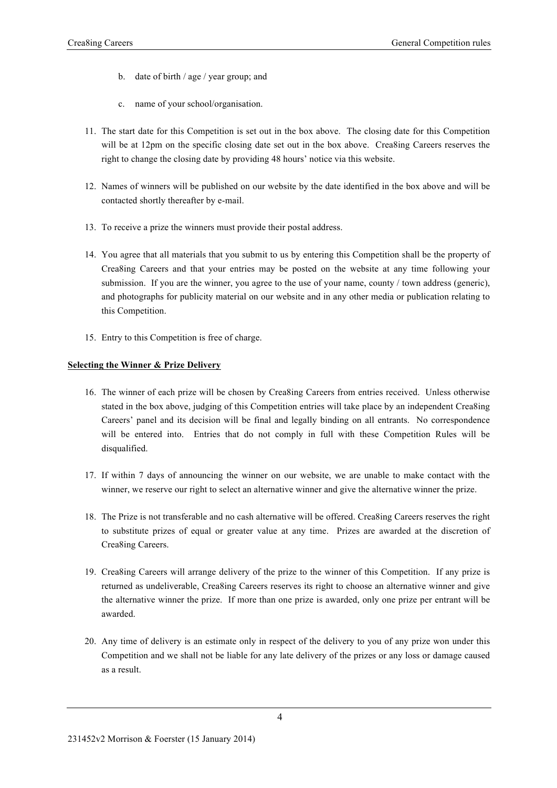- b. date of birth / age / year group; and
- c. name of your school/organisation.
- 11. The start date for this Competition is set out in the box above. The closing date for this Competition will be at 12pm on the specific closing date set out in the box above. Crea8ing Careers reserves the right to change the closing date by providing 48 hours' notice via this website.
- 12. Names of winners will be published on our website by the date identified in the box above and will be contacted shortly thereafter by e-mail.
- 13. To receive a prize the winners must provide their postal address.
- 14. You agree that all materials that you submit to us by entering this Competition shall be the property of Crea8ing Careers and that your entries may be posted on the website at any time following your submission. If you are the winner, you agree to the use of your name, county / town address (generic), and photographs for publicity material on our website and in any other media or publication relating to this Competition.
- 15. Entry to this Competition is free of charge.

#### **Selecting the Winner & Prize Delivery**

- 16. The winner of each prize will be chosen by Crea8ing Careers from entries received. Unless otherwise stated in the box above, judging of this Competition entries will take place by an independent Crea8ing Careers' panel and its decision will be final and legally binding on all entrants. No correspondence will be entered into. Entries that do not comply in full with these Competition Rules will be disqualified.
- 17. If within 7 days of announcing the winner on our website, we are unable to make contact with the winner, we reserve our right to select an alternative winner and give the alternative winner the prize.
- 18. The Prize is not transferable and no cash alternative will be offered. Crea8ing Careers reserves the right to substitute prizes of equal or greater value at any time. Prizes are awarded at the discretion of Crea8ing Careers.
- 19. Crea8ing Careers will arrange delivery of the prize to the winner of this Competition. If any prize is returned as undeliverable, Crea8ing Careers reserves its right to choose an alternative winner and give the alternative winner the prize. If more than one prize is awarded, only one prize per entrant will be awarded.
- 20. Any time of delivery is an estimate only in respect of the delivery to you of any prize won under this Competition and we shall not be liable for any late delivery of the prizes or any loss or damage caused as a result.